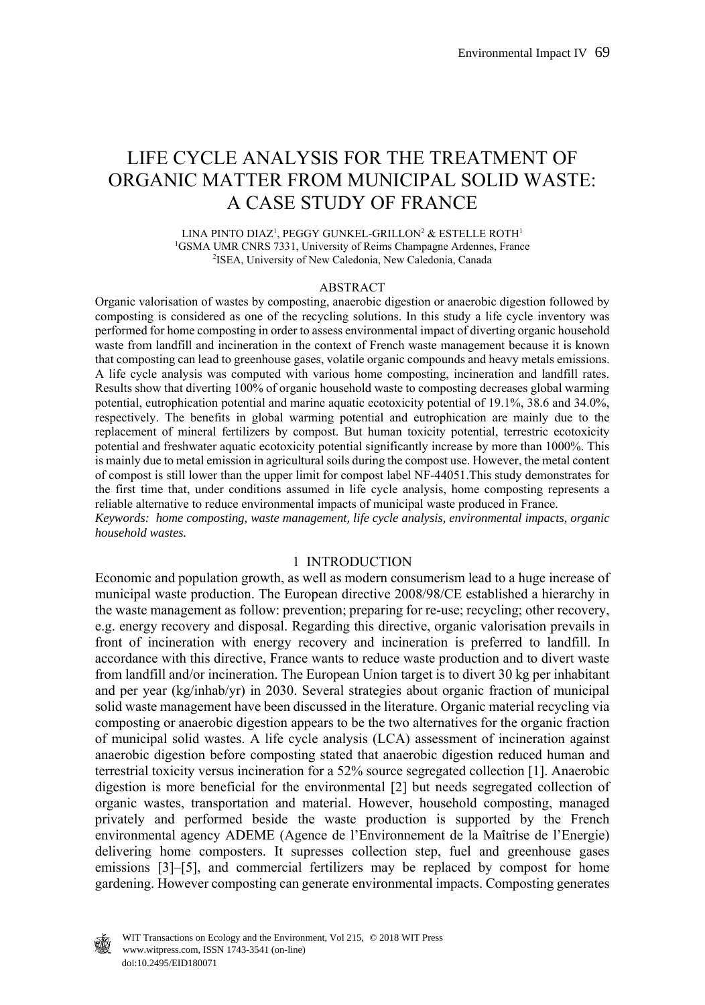# LIFE CYCLE ANALYSIS FOR THE TREATMENT OF ORGANIC MATTER FROM MUNICIPAL SOLID WASTE: A CASE STUDY OF FRANCE

LINA PINTO DIAZ<sup>1</sup>, PEGGY GUNKEL-GRILLON<sup>2</sup> & ESTELLE ROTH<sup>1</sup> <sup>1</sup>GSMA UMR CNRS 7331, University of Reims Champagne Ardennes, France<br><sup>2</sup>ISEA University of New Caledonia, New Caledonia, Canada <sup>2</sup>ISEA, University of New Caledonia, New Caledonia, Canada

#### ABSTRACT

Organic valorisation of wastes by composting, anaerobic digestion or anaerobic digestion followed by composting is considered as one of the recycling solutions. In this study a life cycle inventory was performed for home composting in order to assess environmental impact of diverting organic household waste from landfill and incineration in the context of French waste management because it is known that composting can lead to greenhouse gases, volatile organic compounds and heavy metals emissions. A life cycle analysis was computed with various home composting, incineration and landfill rates. Results show that diverting 100% of organic household waste to composting decreases global warming potential, eutrophication potential and marine aquatic ecotoxicity potential of 19.1%, 38.6 and 34.0%, respectively. The benefits in global warming potential and eutrophication are mainly due to the replacement of mineral fertilizers by compost. But human toxicity potential, terrestric ecotoxicity potential and freshwater aquatic ecotoxicity potential significantly increase by more than 1000%. This is mainly due to metal emission in agricultural soils during the compost use. However, the metal content of compost is still lower than the upper limit for compost label NF-44051.This study demonstrates for the first time that, under conditions assumed in life cycle analysis, home composting represents a reliable alternative to reduce environmental impacts of municipal waste produced in France. *Keywords: home composting, waste management, life cycle analysis, environmental impacts, organic* 

*household wastes.* 

### 1 INTRODUCTION

Economic and population growth, as well as modern consumerism lead to a huge increase of municipal waste production. The European directive 2008/98/CE established a hierarchy in the waste management as follow: prevention; preparing for re-use; recycling; other recovery, e.g. energy recovery and disposal. Regarding this directive, organic valorisation prevails in front of incineration with energy recovery and incineration is preferred to landfill. In accordance with this directive, France wants to reduce waste production and to divert waste from landfill and/or incineration. The European Union target is to divert 30 kg per inhabitant and per year (kg/inhab/yr) in 2030. Several strategies about organic fraction of municipal solid waste management have been discussed in the literature. Organic material recycling via composting or anaerobic digestion appears to be the two alternatives for the organic fraction of municipal solid wastes. A life cycle analysis (LCA) assessment of incineration against anaerobic digestion before composting stated that anaerobic digestion reduced human and terrestrial toxicity versus incineration for a 52% source segregated collection [1]. Anaerobic digestion is more beneficial for the environmental [2] but needs segregated collection of organic wastes, transportation and material. However, household composting, managed privately and performed beside the waste production is supported by the French environmental agency ADEME (Agence de l'Environnement de la Maîtrise de l'Energie) delivering home composters. It supresses collection step, fuel and greenhouse gases emissions [3]–[5], and commercial fertilizers may be replaced by compost for home gardening. However composting can generate environmental impacts. Composting generates

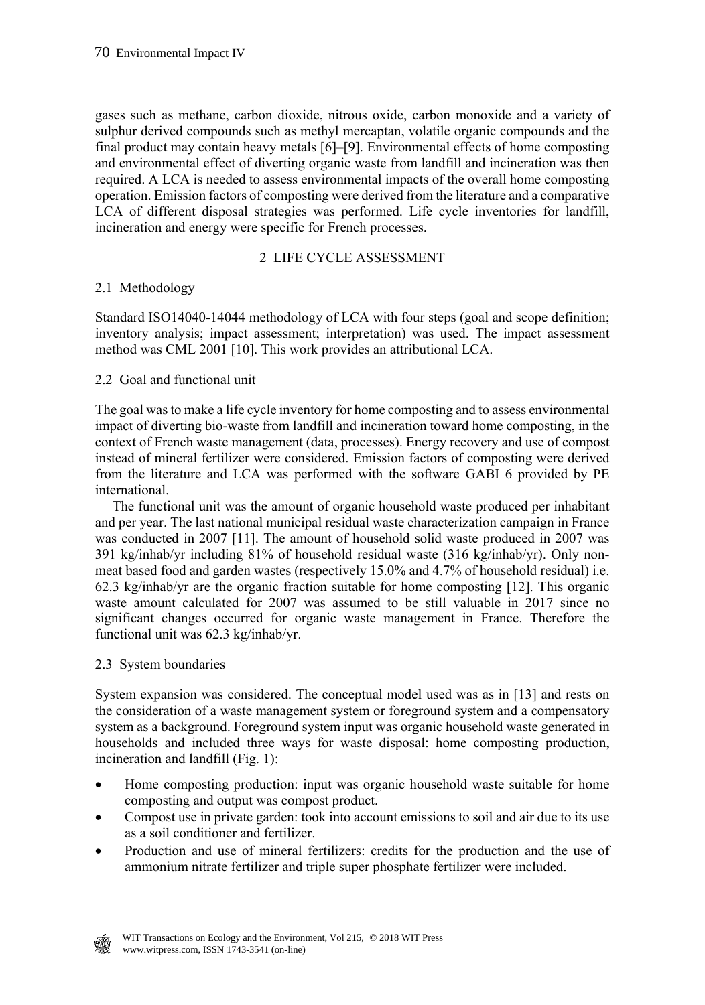gases such as methane, carbon dioxide, nitrous oxide, carbon monoxide and a variety of sulphur derived compounds such as methyl mercaptan, volatile organic compounds and the final product may contain heavy metals [6]–[9]. Environmental effects of home composting and environmental effect of diverting organic waste from landfill and incineration was then required. A LCA is needed to assess environmental impacts of the overall home composting operation. Emission factors of composting were derived from the literature and a comparative LCA of different disposal strategies was performed. Life cycle inventories for landfill, incineration and energy were specific for French processes.

### 2 LIFE CYCLE ASSESSMENT

### 2.1 Methodology

Standard ISO14040-14044 methodology of LCA with four steps (goal and scope definition; inventory analysis; impact assessment; interpretation) was used. The impact assessment method was CML 2001 [10]. This work provides an attributional LCA.

### 2.2 Goal and functional unit

The goal was to make a life cycle inventory for home composting and to assess environmental impact of diverting bio-waste from landfill and incineration toward home composting, in the context of French waste management (data, processes). Energy recovery and use of compost instead of mineral fertilizer were considered. Emission factors of composting were derived from the literature and LCA was performed with the software GABI 6 provided by PE international.

 The functional unit was the amount of organic household waste produced per inhabitant and per year. The last national municipal residual waste characterization campaign in France was conducted in 2007 [11]. The amount of household solid waste produced in 2007 was 391 kg/inhab/yr including 81% of household residual waste (316 kg/inhab/yr). Only nonmeat based food and garden wastes (respectively 15.0% and 4.7% of household residual) i.e. 62.3 kg/inhab/yr are the organic fraction suitable for home composting [12]. This organic waste amount calculated for 2007 was assumed to be still valuable in 2017 since no significant changes occurred for organic waste management in France. Therefore the functional unit was 62.3 kg/inhab/yr.

### 2.3 System boundaries

System expansion was considered. The conceptual model used was as in [13] and rests on the consideration of a waste management system or foreground system and a compensatory system as a background. Foreground system input was organic household waste generated in households and included three ways for waste disposal: home composting production, incineration and landfill (Fig. 1):

- Home composting production: input was organic household waste suitable for home composting and output was compost product.
- Compost use in private garden: took into account emissions to soil and air due to its use as a soil conditioner and fertilizer.
- Production and use of mineral fertilizers: credits for the production and the use of ammonium nitrate fertilizer and triple super phosphate fertilizer were included.

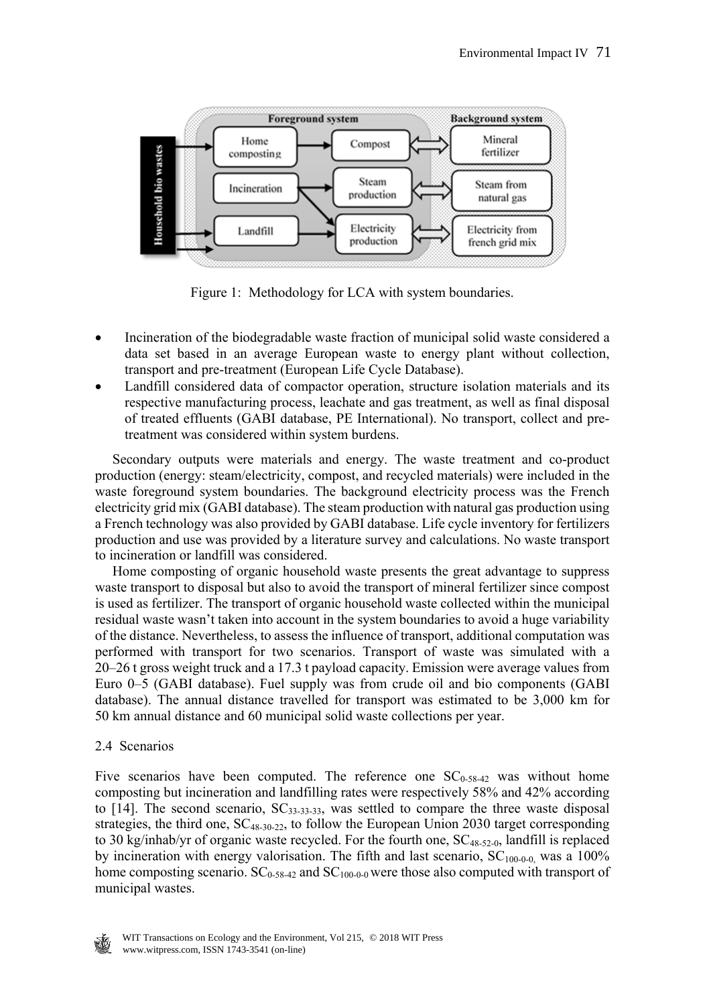

Figure 1: Methodology for LCA with system boundaries.

- Incineration of the biodegradable waste fraction of municipal solid waste considered a data set based in an average European waste to energy plant without collection, transport and pre-treatment (European Life Cycle Database).
- Landfill considered data of compactor operation, structure isolation materials and its respective manufacturing process, leachate and gas treatment, as well as final disposal of treated effluents (GABI database, PE International). No transport, collect and pretreatment was considered within system burdens.

 Secondary outputs were materials and energy. The waste treatment and co-product production (energy: steam/electricity, compost, and recycled materials) were included in the waste foreground system boundaries. The background electricity process was the French electricity grid mix (GABI database). The steam production with natural gas production using a French technology was also provided by GABI database. Life cycle inventory for fertilizers production and use was provided by a literature survey and calculations. No waste transport to incineration or landfill was considered.

 Home composting of organic household waste presents the great advantage to suppress waste transport to disposal but also to avoid the transport of mineral fertilizer since compost is used as fertilizer. The transport of organic household waste collected within the municipal residual waste wasn't taken into account in the system boundaries to avoid a huge variability of the distance. Nevertheless, to assess the influence of transport, additional computation was performed with transport for two scenarios. Transport of waste was simulated with a 20–26 t gross weight truck and a 17.3 t payload capacity. Emission were average values from Euro 0–5 (GABI database). Fuel supply was from crude oil and bio components (GABI database). The annual distance travelled for transport was estimated to be 3,000 km for 50 km annual distance and 60 municipal solid waste collections per year.

### 2.4 Scenarios

Five scenarios have been computed. The reference one  $SC<sub>0-58-42</sub>$  was without home composting but incineration and landfilling rates were respectively 58% and 42% according to  $[14]$ . The second scenario,  $SC_{33-33-33}$ , was settled to compare the three waste disposal strategies, the third one, SC<sub>48-30-22</sub>, to follow the European Union 2030 target corresponding to 30 kg/inhab/yr of organic waste recycled. For the fourth one,  $SC_{48-52-0}$ , landfill is replaced by incineration with energy valorisation. The fifth and last scenario,  $SC<sub>100-0-0</sub>$ , was a 100% home composting scenario.  $SC_{0.58-42}$  and  $SC_{100-0.0}$  were those also computed with transport of municipal wastes.

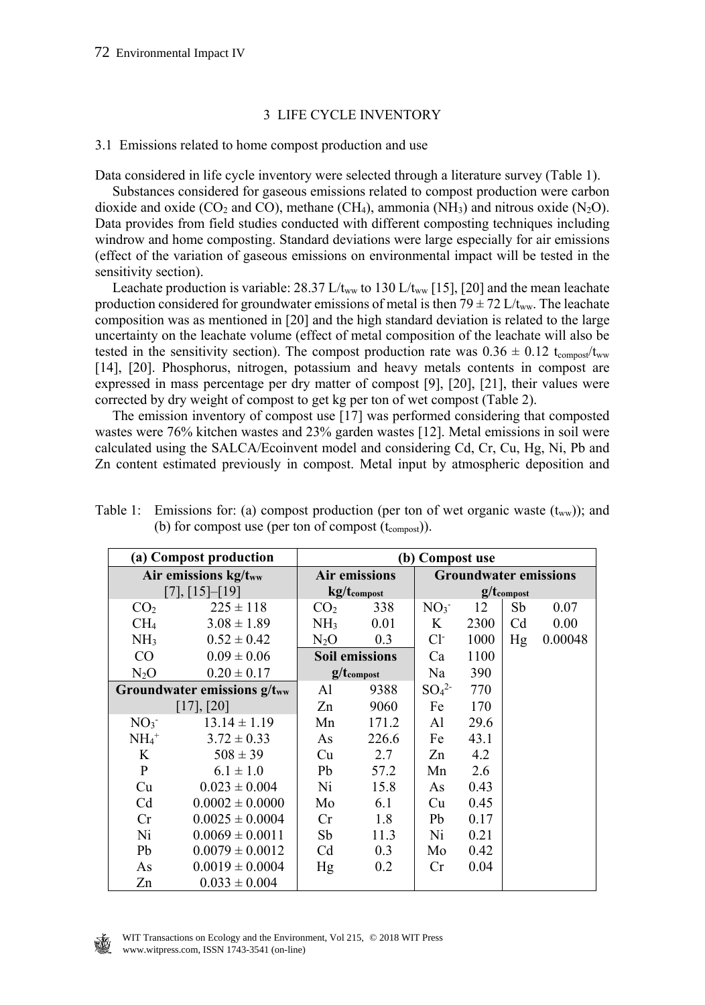### 3 LIFE CYCLE INVENTORY

#### 3.1 Emissions related to home compost production and use

Data considered in life cycle inventory were selected through a literature survey (Table 1).

 Substances considered for gaseous emissions related to compost production were carbon dioxide and oxide (CO<sub>2</sub> and CO), methane (CH<sub>4</sub>), ammonia (NH<sub>3</sub>) and nitrous oxide (N<sub>2</sub>O). Data provides from field studies conducted with different composting techniques including windrow and home composting. Standard deviations were large especially for air emissions (effect of the variation of gaseous emissions on environmental impact will be tested in the sensitivity section).

Leachate production is variable: 28.37 L/t<sub>ww</sub> to 130 L/t<sub>ww</sub> [15], [20] and the mean leachate production considered for groundwater emissions of metal is then  $79 \pm 72$  L/t<sub>ww</sub>. The leachate composition was as mentioned in [20] and the high standard deviation is related to the large uncertainty on the leachate volume (effect of metal composition of the leachate will also be tested in the sensitivity section). The compost production rate was  $0.36 \pm 0.12$  t<sub>compost</sub>/t<sub>ww</sub> [14], [20]. Phosphorus, nitrogen, potassium and heavy metals contents in compost are expressed in mass percentage per dry matter of compost [9], [20], [21], their values were corrected by dry weight of compost to get kg per ton of wet compost (Table 2).

 The emission inventory of compost use [17] was performed considering that composted wastes were 76% kitchen wastes and 23% garden wastes [12]. Metal emissions in soil were calculated using the SALCA/Ecoinvent model and considering Cd, Cr, Cu, Hg, Ni, Pb and Zn content estimated previously in compost. Metal input by atmospheric deposition and

| (a) Compost production           |                     | (b) Compost use       |       |                              |      |    |         |
|----------------------------------|---------------------|-----------------------|-------|------------------------------|------|----|---------|
| Air emissions kg/tww             |                     | <b>Air emissions</b>  |       | <b>Groundwater emissions</b> |      |    |         |
| [7], [15]–[19]                   |                     | kg/tcompost           |       | $g/t_{\text{components}}$    |      |    |         |
| CO <sub>2</sub>                  | $225 \pm 118$       | CO <sub>2</sub>       | 338   | NO <sub>3</sub>              | 12   | Sb | 0.07    |
| CH <sub>4</sub>                  | $3.08 \pm 1.89$     | NH <sub>3</sub>       | 0.01  | K                            | 2300 | Cd | 0.00    |
| NH <sub>3</sub>                  | $0.52 \pm 0.42$     | $N_2O$                | 0.3   | $Cl-$                        | 1000 | Hg | 0.00048 |
| CO                               | $0.09 \pm 0.06$     | <b>Soil emissions</b> |       | Ca                           | 1100 |    |         |
| $N_2O$                           | $0.20 \pm 0.17$     | $g/t_{\rm{compost}}$  |       | Na                           | 390  |    |         |
| Groundwater emissions $g/t_{ww}$ |                     | Al                    | 9388  | SO <sub>4</sub> <sup>2</sup> | 770  |    |         |
|                                  | $[17]$ , $[20]$     |                       | 9060  | Fe                           | 170  |    |         |
| NO <sub>3</sub>                  | $13.14 \pm 1.19$    | Mn                    | 171.2 | Al                           | 29.6 |    |         |
| $NH_4^+$                         | $3.72 \pm 0.33$     | As                    | 226.6 | Fe                           | 43.1 |    |         |
| K                                | $508 \pm 39$        | Cu                    | 2.7   | Zn                           | 4.2  |    |         |
| P                                | $6.1 \pm 1.0$       | Pb                    | 57.2  | Mn                           | 2.6  |    |         |
| Cu                               | $0.023 \pm 0.004$   | Ni                    | 15.8  | As                           | 0.43 |    |         |
| C <sub>d</sub>                   | $0.0002 \pm 0.0000$ | Mo                    | 6.1   | Cu                           | 0.45 |    |         |
| Cr                               | $0.0025 \pm 0.0004$ | Cr                    | 1.8   | Pb                           | 0.17 |    |         |
| Ni                               | $0.0069 \pm 0.0011$ | Sb                    | 11.3  | Ni                           | 0.21 |    |         |
| Pb                               | $0.0079 \pm 0.0012$ | C <sub>d</sub>        | 0.3   | Mo                           | 0.42 |    |         |
| As                               | $0.0019 \pm 0.0004$ | Hg                    | 0.2   | Cr                           | 0.04 |    |         |
| Zn                               | $0.033 \pm 0.004$   |                       |       |                              |      |    |         |

Table 1: Emissions for: (a) compost production (per ton of wet organic waste  $(t_{ww})$ ); and (b) for compost use (per ton of compost  $(t_{\text{compost}})$ ).

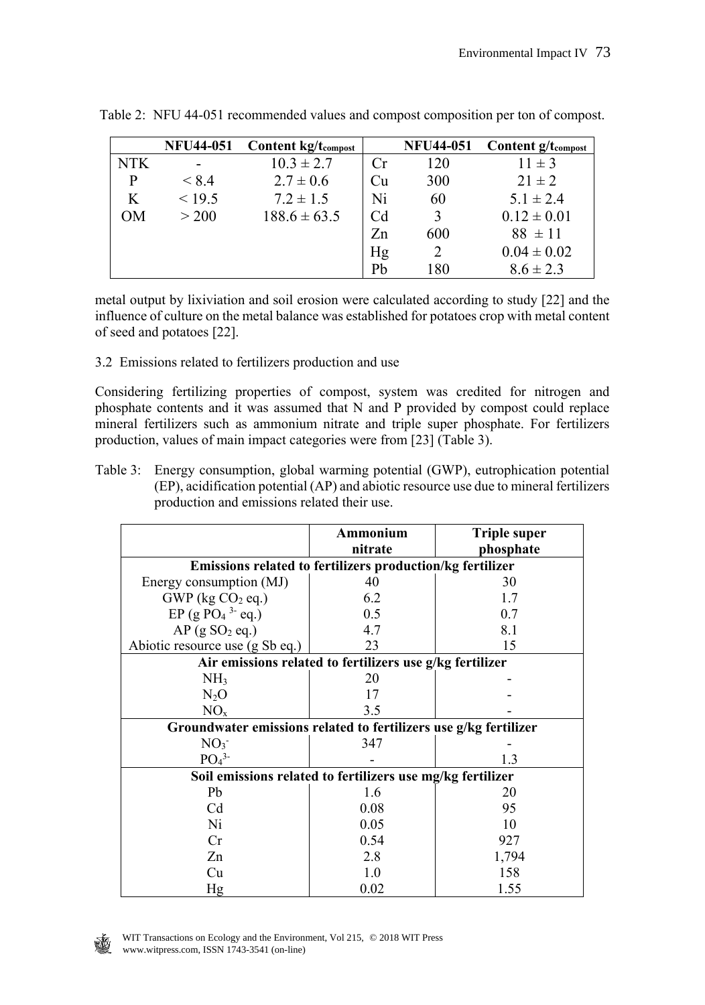|            | <b>NFU44-051</b> | <b>Content kg/tcompost</b> |                | <b>NFU44-051</b> | <b>Content g/tcompost</b> |
|------------|------------------|----------------------------|----------------|------------------|---------------------------|
| <b>NTK</b> |                  | $10.3 \pm 2.7$             | Cr             | 120              | $11 \pm 3$                |
| P          | < 8.4            | $2.7 \pm 0.6$              | Cu             | 300              | $21 \pm 2$                |
| K          | < 19.5           | $7.2 \pm 1.5$              | Ni             | 60               | $5.1 \pm 2.4$             |
| OМ         | > 200            | $188.6 \pm 63.5$           | C <sub>d</sub> | 3                | $0.12 \pm 0.01$           |
|            |                  |                            | Zn             | 600              | $88 \pm 11$               |
|            |                  |                            | Hg             | 2                | $0.04 \pm 0.02$           |
|            |                  |                            | Pb             | 180              | $8.6 \pm 2.3$             |

Table 2: NFU 44-051 recommended values and compost composition per ton of compost.

metal output by lixiviation and soil erosion were calculated according to study [22] and the influence of culture on the metal balance was established for potatoes crop with metal content of seed and potatoes [22].

3.2 Emissions related to fertilizers production and use

Considering fertilizing properties of compost, system was credited for nitrogen and phosphate contents and it was assumed that N and P provided by compost could replace mineral fertilizers such as ammonium nitrate and triple super phosphate. For fertilizers production, values of main impact categories were from [23] (Table 3).

Table 3: Energy consumption, global warming potential (GWP), eutrophication potential (EP), acidification potential (AP) and abiotic resource use due to mineral fertilizers production and emissions related their use.

|                                                                  | Ammonium | <b>Triple super</b> |  |  |  |
|------------------------------------------------------------------|----------|---------------------|--|--|--|
|                                                                  | nitrate  | phosphate           |  |  |  |
| Emissions related to fertilizers production/kg fertilizer        |          |                     |  |  |  |
| Energy consumption (MJ)                                          | 40       | 30                  |  |  |  |
| $GWP$ (kg $CO2$ eq.)                                             | 6.2      | 1.7                 |  |  |  |
| EP (g PO <sub>4</sub> $3$ - eq.)                                 | 0.5      | 0.7                 |  |  |  |
| $AP$ (g SO <sub>2</sub> eq.)                                     | 4.7      | 8.1                 |  |  |  |
| Abiotic resource use (g Sb eq.)                                  | 23       | 15                  |  |  |  |
| Air emissions related to fertilizers use g/kg fertilizer         |          |                     |  |  |  |
| NH <sub>3</sub>                                                  | 20       |                     |  |  |  |
| $N_2O$                                                           | 17       |                     |  |  |  |
| NO <sub>x</sub>                                                  | 3.5      |                     |  |  |  |
| Groundwater emissions related to fertilizers use g/kg fertilizer |          |                     |  |  |  |
| NO <sub>3</sub>                                                  | 347      |                     |  |  |  |
| PO <sub>4</sub> <sup>3</sup>                                     |          | 1.3                 |  |  |  |
| Soil emissions related to fertilizers use mg/kg fertilizer       |          |                     |  |  |  |
| Pb                                                               | 1.6      | 20                  |  |  |  |
| C <sub>d</sub>                                                   | 0.08     | 95                  |  |  |  |
| Ni                                                               | 0.05     | 10                  |  |  |  |
| Cr                                                               | 0.54     | 927                 |  |  |  |
| Zn                                                               | 2.8      | 1,794               |  |  |  |
| Cu                                                               | 1.0      | 158                 |  |  |  |
| Hg                                                               | 0.02     | 1.55                |  |  |  |

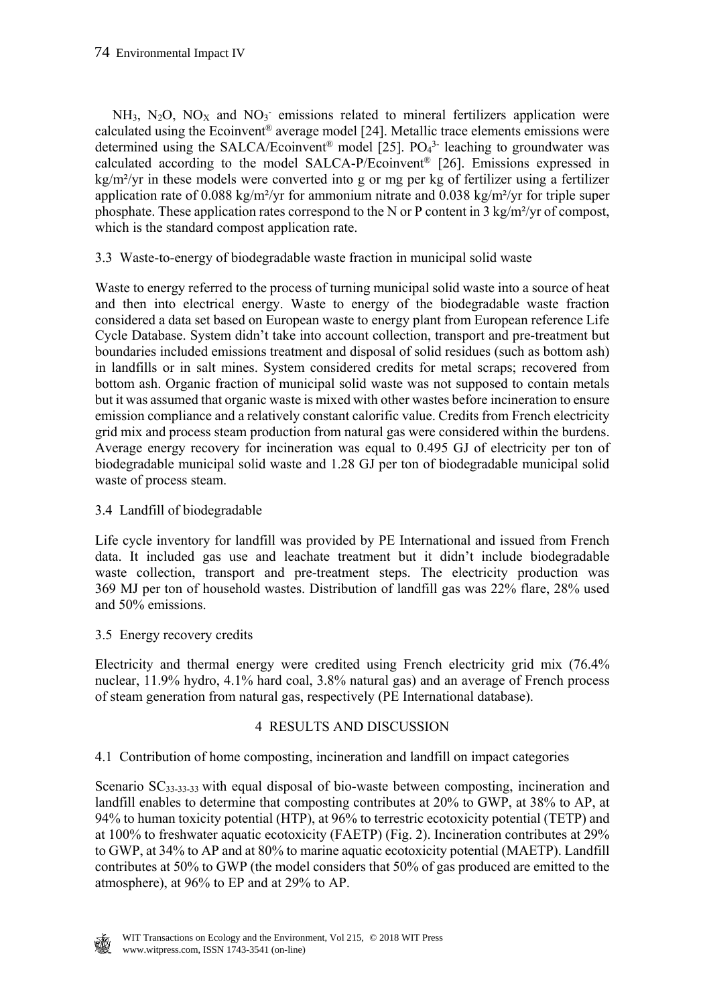$NH<sub>3</sub>$ , N<sub>2</sub>O, NO<sub>X</sub> and NO<sub>3</sub> emissions related to mineral fertilizers application were calculated using the Ecoinvent<sup>®</sup> average model [24]. Metallic trace elements emissions were determined using the SALCA/Ecoinvent<sup>®</sup> model [25].  $PO<sub>4</sub><sup>3</sup>$ -leaching to groundwater was calculated according to the model SALCA-P/Ecoinvent® [26]. Emissions expressed in kg/m²/yr in these models were converted into g or mg per kg of fertilizer using a fertilizer application rate of 0.088 kg/m²/yr for ammonium nitrate and 0.038 kg/m²/yr for triple super phosphate. These application rates correspond to the N or P content in 3 kg/m²/yr of compost, which is the standard compost application rate.

3.3 Waste-to-energy of biodegradable waste fraction in municipal solid waste

Waste to energy referred to the process of turning municipal solid waste into a source of heat and then into electrical energy. Waste to energy of the biodegradable waste fraction considered a data set based on European waste to energy plant from European reference Life Cycle Database. System didn't take into account collection, transport and pre-treatment but boundaries included emissions treatment and disposal of solid residues (such as bottom ash) in landfills or in salt mines. System considered credits for metal scraps; recovered from bottom ash. Organic fraction of municipal solid waste was not supposed to contain metals but it was assumed that organic waste is mixed with other wastes before incineration to ensure emission compliance and a relatively constant calorific value. Credits from French electricity grid mix and process steam production from natural gas were considered within the burdens. Average energy recovery for incineration was equal to 0.495 GJ of electricity per ton of biodegradable municipal solid waste and 1.28 GJ per ton of biodegradable municipal solid waste of process steam.

3.4 Landfill of biodegradable

Life cycle inventory for landfill was provided by PE International and issued from French data. It included gas use and leachate treatment but it didn't include biodegradable waste collection, transport and pre-treatment steps. The electricity production was 369 MJ per ton of household wastes. Distribution of landfill gas was 22% flare, 28% used and 50% emissions.

3.5 Energy recovery credits

Electricity and thermal energy were credited using French electricity grid mix (76.4% nuclear, 11.9% hydro, 4.1% hard coal, 3.8% natural gas) and an average of French process of steam generation from natural gas, respectively (PE International database).

## 4 RESULTS AND DISCUSSION

4.1 Contribution of home composting, incineration and landfill on impact categories

Scenario SC33-33-33 with equal disposal of bio-waste between composting, incineration and landfill enables to determine that composting contributes at 20% to GWP, at 38% to AP, at 94% to human toxicity potential (HTP), at 96% to terrestric ecotoxicity potential (TETP) and at 100% to freshwater aquatic ecotoxicity (FAETP) (Fig. 2). Incineration contributes at 29% to GWP, at 34% to AP and at 80% to marine aquatic ecotoxicity potential (MAETP). Landfill contributes at 50% to GWP (the model considers that 50% of gas produced are emitted to the atmosphere), at 96% to EP and at 29% to AP.

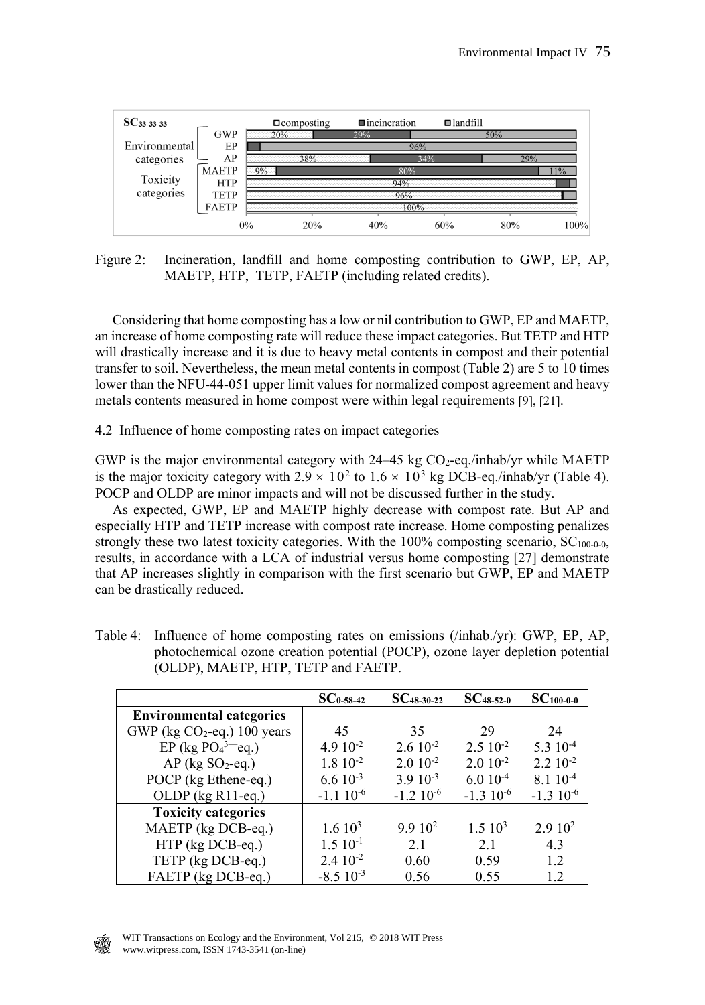

Figure 2: Incineration, landfill and home composting contribution to GWP, EP, AP, MAETP, HTP, TETP, FAETP (including related credits).

 Considering that home composting has a low or nil contribution to GWP, EP and MAETP, an increase of home composting rate will reduce these impact categories. But TETP and HTP will drastically increase and it is due to heavy metal contents in compost and their potential transfer to soil. Nevertheless, the mean metal contents in compost (Table 2) are 5 to 10 times lower than the NFU-44-051 upper limit values for normalized compost agreement and heavy metals contents measured in home compost were within legal requirements [9], [21].

4.2 Influence of home composting rates on impact categories

GWP is the major environmental category with  $24-45$  kg CO<sub>2</sub>-eq./inhab/yr while MAETP is the major toxicity category with  $2.9 \times 10^2$  to  $1.6 \times 10^3$  kg DCB-eq./inhab/yr (Table 4). POCP and OLDP are minor impacts and will not be discussed further in the study.

 As expected, GWP, EP and MAETP highly decrease with compost rate. But AP and especially HTP and TETP increase with compost rate increase. Home composting penalizes strongly these two latest toxicity categories. With the 100% composting scenario,  $SC<sub>100-0-0</sub>$ , results, in accordance with a LCA of industrial versus home composting [27] demonstrate that AP increases slightly in comparison with the first scenario but GWP, EP and MAETP can be drastically reduced.

|                                 | $SC_{0-58-42}$     | $SC_{48-30-22}$    | $SC_{48-52-0}$       | $SC_{100-0-0}$       |
|---------------------------------|--------------------|--------------------|----------------------|----------------------|
| <b>Environmental categories</b> |                    |                    |                      |                      |
| GWP (kg $CO2$ -eq.) 100 years   | 45                 | 35                 | 29                   | 24                   |
| EP (kg $PO43$ -eq.)             | 4.9 $10^{-2}$      | $2.610^{-2}$       | $2.5 \times 10^{-2}$ | $5.310^{-4}$         |
| $AP$ (kg SO <sub>2</sub> -eq.)  | $1.810^{-2}$       | $2.010^{-2}$       | $2.010^{-2}$         | $2.2 \times 10^{-2}$ |
| POCP (kg Ethene-eq.)            | $6.610^{-3}$       | $3.910^{-3}$       | $6.010^{-4}$         | $8.110^{-4}$         |
| OLDP (kg R11-eq.)               | $-1.110^{-6}$      | $-1.210^{-6}$      | $-1.310^{-6}$        | $-1.310^{-6}$        |
| <b>Toxicity categories</b>      |                    |                    |                      |                      |
| MAETP (kg DCB-eq.)              | 1.610 <sup>3</sup> | 9.910 <sup>2</sup> | $1.5 \; 10^3$        | 2.910 <sup>2</sup>   |
| HTP (kg DCB-eq.)                | $1.5 10^{-1}$      | 2.1                | 2.1                  | 4.3                  |
| TETP (kg DCB-eq.)               | $2.410^{-2}$       | 0.60               | 0.59                 | 1.2                  |
| FAETP (kg DCB-eq.)              | $-8.510^{-3}$      | 0.56               | 0.55                 | 1.2                  |

Table 4: Influence of home composting rates on emissions (/inhab./yr): GWP, EP, AP, photochemical ozone creation potential (POCP), ozone layer depletion potential (OLDP), MAETP, HTP, TETP and FAETP.

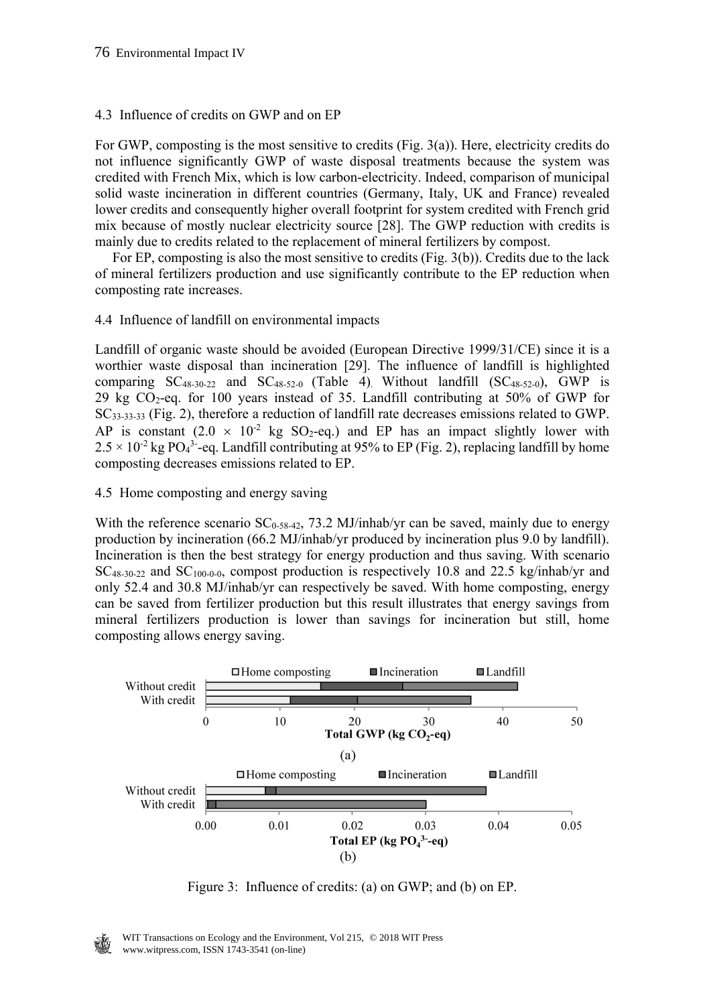### 4.3 Influence of credits on GWP and on EP

For GWP, composting is the most sensitive to credits (Fig. 3(a)). Here, electricity credits do not influence significantly GWP of waste disposal treatments because the system was credited with French Mix, which is low carbon-electricity. Indeed, comparison of municipal solid waste incineration in different countries (Germany, Italy, UK and France) revealed lower credits and consequently higher overall footprint for system credited with French grid mix because of mostly nuclear electricity source [28]. The GWP reduction with credits is mainly due to credits related to the replacement of mineral fertilizers by compost.

 For EP, composting is also the most sensitive to credits (Fig. 3(b)). Credits due to the lack of mineral fertilizers production and use significantly contribute to the EP reduction when composting rate increases.

### 4.4 Influence of landfill on environmental impacts

Landfill of organic waste should be avoided (European Directive 1999/31/CE) since it is a worthier waste disposal than incineration [29]. The influence of landfill is highlighted comparing  $SC_{48-30-22}$  and  $SC_{48-52-0}$  (Table 4). Without landfill  $(SC_{48-52-0}$ , GWP is 29 kg  $CO_2$ -eq. for 100 years instead of 35. Landfill contributing at 50% of GWP for SC33-33-33 (Fig. 2), therefore a reduction of landfill rate decreases emissions related to GWP. AP is constant  $(2.0 \times 10^{-2} \text{ kg SO}_2\text{-eq.})$  and EP has an impact slightly lower with  $2.5 \times 10^{-2}$  kg PO<sub>4</sub><sup>3</sup>-eq. Landfill contributing at 95% to EP (Fig. 2), replacing landfill by home composting decreases emissions related to EP.

### 4.5 Home composting and energy saving

With the reference scenario  $SC<sub>0.58-42</sub>$ , 73.2 MJ/inhab/yr can be saved, mainly due to energy production by incineration (66.2 MJ/inhab/yr produced by incineration plus 9.0 by landfill). Incineration is then the best strategy for energy production and thus saving. With scenario  $SC_{48-30-22}$  and  $SC_{100-0-0}$ , compost production is respectively 10.8 and 22.5 kg/inhab/yr and only 52.4 and 30.8 MJ/inhab/yr can respectively be saved. With home composting, energy can be saved from fertilizer production but this result illustrates that energy savings from mineral fertilizers production is lower than savings for incineration but still, home composting allows energy saving.



Figure 3: Influence of credits: (a) on GWP; and (b) on EP.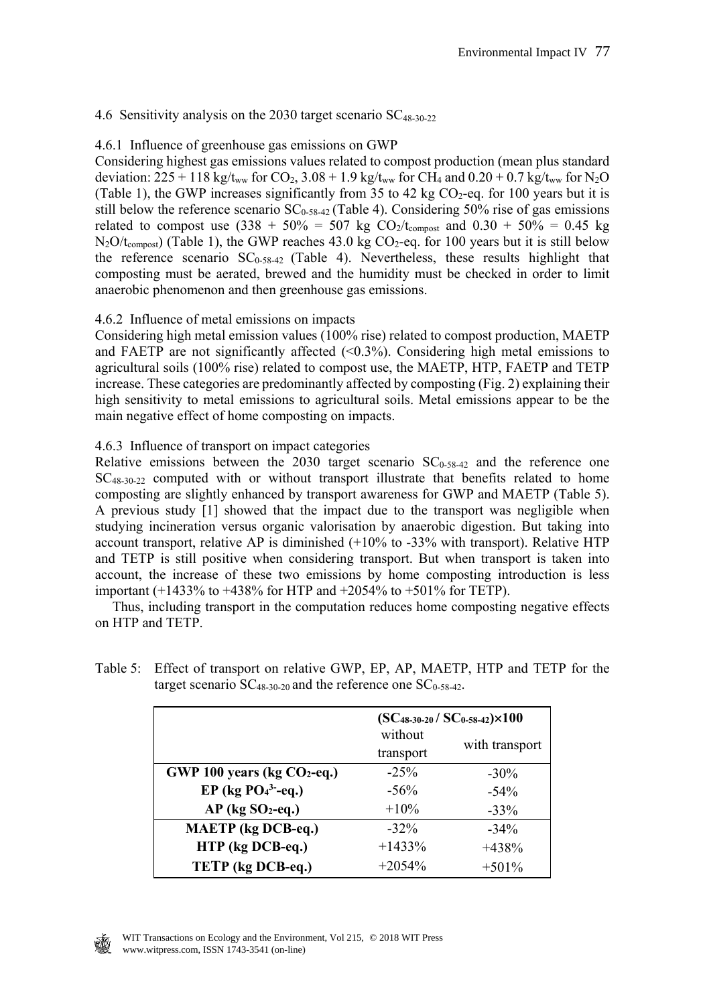### 4.6 Sensitivity analysis on the 2030 target scenario  $SC_{48-30-22}$

### 4.6.1 Influence of greenhouse gas emissions on GWP

Considering highest gas emissions values related to compost production (mean plus standard deviation:  $225 + 118$  kg/t<sub>ww</sub> for CO<sub>2</sub>,  $3.08 + 1.9$  kg/t<sub>ww</sub> for CH<sub>4</sub> and  $0.20 + 0.7$  kg/t<sub>ww</sub> for N<sub>2</sub>O (Table 1), the GWP increases significantly from 35 to 42 kg  $CO<sub>2</sub>$ -eq. for 100 years but it is still below the reference scenario  $SC_{0.58-42}$  (Table 4). Considering 50% rise of gas emissions related to compost use  $(338 + 50\% = 507 \text{ kg CO}_2/\text{t_{components}}$  and  $0.30 + 50\% = 0.45 \text{ kg}$  $N_2O/t_{\text{compost}}$ ) (Table 1), the GWP reaches 43.0 kg CO<sub>2</sub>-eq. for 100 years but it is still below the reference scenario  $SC_{0.58-42}$  (Table 4). Nevertheless, these results highlight that composting must be aerated, brewed and the humidity must be checked in order to limit anaerobic phenomenon and then greenhouse gas emissions.

### 4.6.2 Influence of metal emissions on impacts

Considering high metal emission values (100% rise) related to compost production, MAETP and FAETP are not significantly affected  $\langle 0.3\% \rangle$ . Considering high metal emissions to agricultural soils (100% rise) related to compost use, the MAETP, HTP, FAETP and TETP increase. These categories are predominantly affected by composting (Fig. 2) explaining their high sensitivity to metal emissions to agricultural soils. Metal emissions appear to be the main negative effect of home composting on impacts.

### 4.6.3 Influence of transport on impact categories

Relative emissions between the  $2030$  target scenario  $SC<sub>0-58-42</sub>$  and the reference one SC48-30-22 computed with or without transport illustrate that benefits related to home composting are slightly enhanced by transport awareness for GWP and MAETP (Table 5). A previous study [1] showed that the impact due to the transport was negligible when studying incineration versus organic valorisation by anaerobic digestion. But taking into account transport, relative AP is diminished (+10% to -33% with transport). Relative HTP and TETP is still positive when considering transport. But when transport is taken into account, the increase of these two emissions by home composting introduction is less important (+1433% to +438% for HTP and +2054% to +501% for TETP).

 Thus, including transport in the computation reduces home composting negative effects on HTP and TETP.

|                                | $(SC_{48-30-20}/SC_{0-58-42}) \times 100$ |                |  |
|--------------------------------|-------------------------------------------|----------------|--|
|                                | without<br>transport                      | with transport |  |
| GWP 100 years (kg $CO2$ -eq.)  | $-25\%$                                   | $-30\%$        |  |
| EP (kg $PO43$ -eq.)            | $-56\%$                                   | $-54\%$        |  |
| $AP$ (kg SO <sub>2</sub> -eq.) | $+10\%$                                   | $-33\%$        |  |
| <b>MAETP</b> (kg DCB-eq.)      | $-32\%$                                   | $-34\%$        |  |
| HTP (kg DCB-eq.)               | $+1433%$                                  | $+438%$        |  |
| TETP (kg DCB-eq.)              | $+2054%$                                  | $+501%$        |  |

Table 5: Effect of transport on relative GWP, EP, AP, MAETP, HTP and TETP for the target scenario  $SC_{48-30-20}$  and the reference one  $SC_{0-58-42}$ .

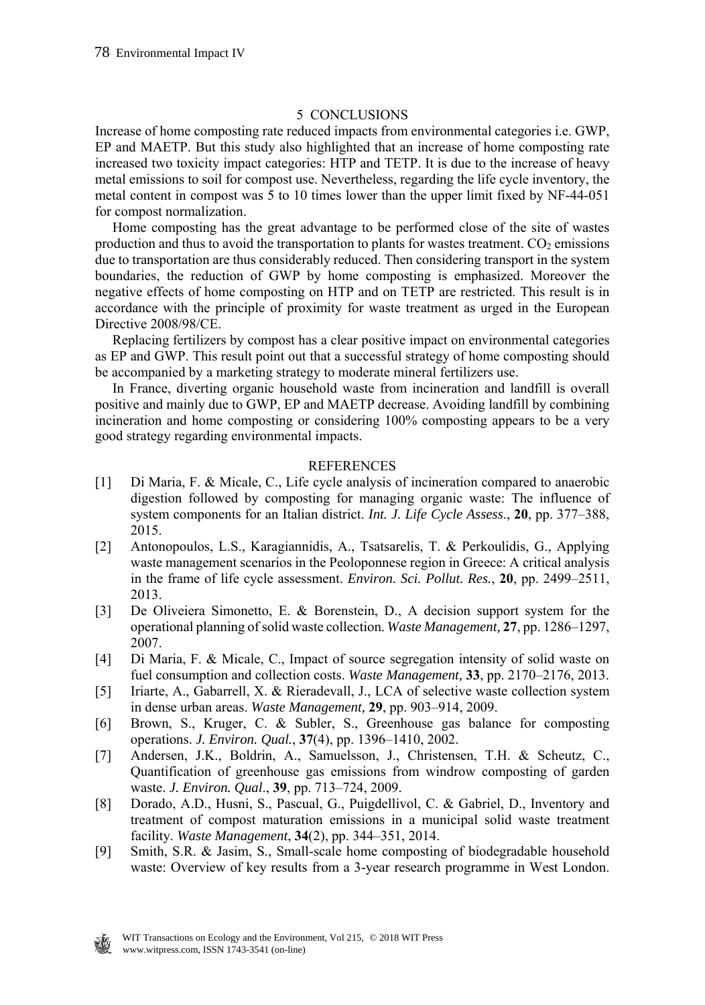### 5 CONCLUSIONS

Increase of home composting rate reduced impacts from environmental categories i.e. GWP, EP and MAETP. But this study also highlighted that an increase of home composting rate increased two toxicity impact categories: HTP and TETP. It is due to the increase of heavy metal emissions to soil for compost use. Nevertheless, regarding the life cycle inventory, the metal content in compost was 5 to 10 times lower than the upper limit fixed by NF-44-051 for compost normalization.

 Home composting has the great advantage to be performed close of the site of wastes production and thus to avoid the transportation to plants for wastes treatment.  $CO<sub>2</sub>$  emissions due to transportation are thus considerably reduced. Then considering transport in the system boundaries, the reduction of GWP by home composting is emphasized. Moreover the negative effects of home composting on HTP and on TETP are restricted. This result is in accordance with the principle of proximity for waste treatment as urged in the European Directive 2008/98/CE.

 Replacing fertilizers by compost has a clear positive impact on environmental categories as EP and GWP. This result point out that a successful strategy of home composting should be accompanied by a marketing strategy to moderate mineral fertilizers use.

 In France, diverting organic household waste from incineration and landfill is overall positive and mainly due to GWP, EP and MAETP decrease. Avoiding landfill by combining incineration and home composting or considering 100% composting appears to be a very good strategy regarding environmental impacts.

### REFERENCES

- [1] Di Maria, F. & Micale, C., Life cycle analysis of incineration compared to anaerobic digestion followed by composting for managing organic waste: The influence of system components for an Italian district. *Int. J. Life Cycle Assess*., **20**, pp. 377–388, 2015.
- [2] Antonopoulos, L.S., Karagiannidis, A., Tsatsarelis, T. & Perkoulidis, G., Applying waste management scenarios in the Peoloponnese region in Greece: A critical analysis in the frame of life cycle assessment. *Environ. Sci. Pollut. Res.*, **20**, pp. 2499–2511, 2013.
- [3] De Oliveiera Simonetto, E. & Borenstein, D., A decision support system for the operational planning of solid waste collection. *Waste Management,* **27**, pp. 1286–1297, 2007.
- [4] Di Maria, F. & Micale, C., Impact of source segregation intensity of solid waste on fuel consumption and collection costs. *Waste Management,* **33**, pp. 2170–2176, 2013.
- [5] Iriarte, A., Gabarrell, X. & Rieradevall, J., LCA of selective waste collection system in dense urban areas. *Waste Management,* **29**, pp. 903–914, 2009.
- [6] Brown, S., Kruger, C. & Subler, S., Greenhouse gas balance for composting operations. *J. Environ. Qual.*, **37**(4), pp. 1396–1410, 2002.
- [7] Andersen, J.K., Boldrin, A., Samuelsson, J., Christensen, T.H. & Scheutz, C., Quantification of greenhouse gas emissions from windrow composting of garden waste. *J. Environ. Qual*., **39**, pp. 713–724, 2009.
- [8] Dorado, A.D., Husni, S., Pascual, G., Puigdellivol, C. & Gabriel, D., Inventory and treatment of compost maturation emissions in a municipal solid waste treatment facility. *Waste Management*, **34**(2), pp. 344–351, 2014.
- [9] Smith, S.R. & Jasim, S., Small-scale home composting of biodegradable household waste: Overview of key results from a 3-year research programme in West London.

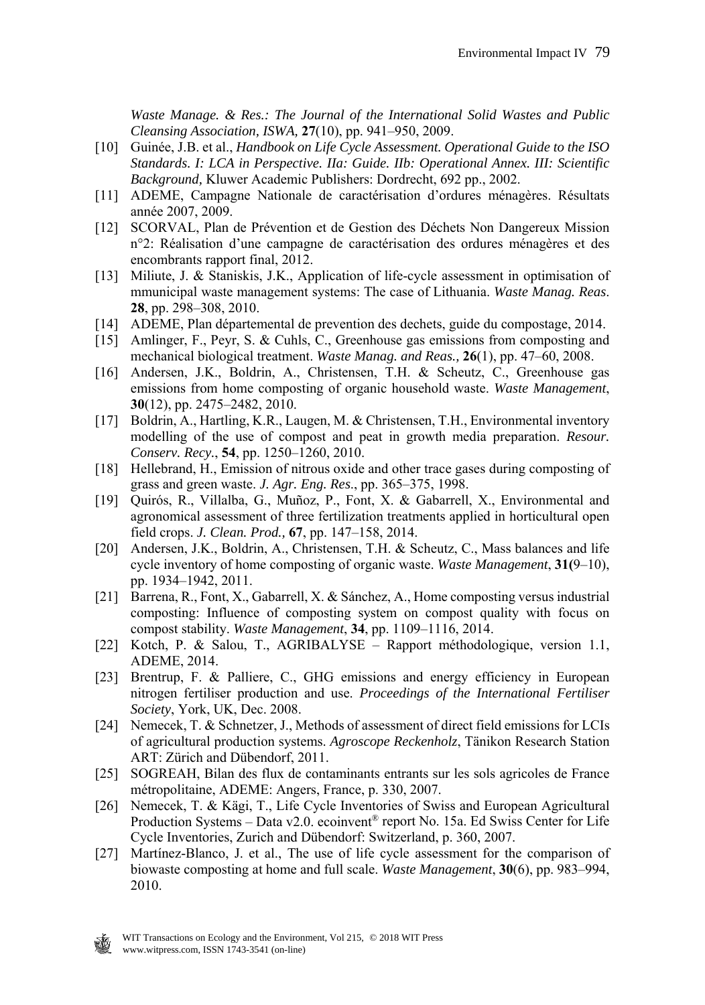*Waste Manage. & Res.: The Journal of the International Solid Wastes and Public Cleansing Association, ISWA,* **27**(10), pp. 941–950, 2009.

- [10] Guinée, J.B. et al., *Handbook on Life Cycle Assessment. Operational Guide to the ISO Standards. I: LCA in Perspective. IIa: Guide. IIb: Operational Annex. III: Scientific Background,* Kluwer Academic Publishers: Dordrecht, 692 pp., 2002.
- [11] ADEME, Campagne Nationale de caractérisation d'ordures ménagères. Résultats année 2007, 2009.
- [12] SCORVAL, Plan de Prévention et de Gestion des Déchets Non Dangereux Mission n°2: Réalisation d'une campagne de caractérisation des ordures ménagères et des encombrants rapport final, 2012.
- [13] Miliute, J. & Staniskis, J.K., Application of life-cycle assessment in optimisation of mmunicipal waste management systems: The case of Lithuania. *Waste Manag. Reas*. **28**, pp. 298–308, 2010.
- [14] ADEME, Plan départemental de prevention des dechets, guide du compostage, 2014.
- [15] Amlinger, F., Peyr, S. & Cuhls, C., Greenhouse gas emissions from composting and mechanical biological treatment. *Waste Manag. and Reas.,* **26**(1), pp. 47–60, 2008.
- [16] Andersen, J.K., Boldrin, A., Christensen, T.H. & Scheutz, C., Greenhouse gas emissions from home composting of organic household waste. *Waste Management*, **30**(12), pp. 2475–2482, 2010.
- [17] Boldrin, A., Hartling, K.R., Laugen, M. & Christensen, T.H., Environmental inventory modelling of the use of compost and peat in growth media preparation. *Resour. Conserv. Recy.*, **54**, pp. 1250–1260, 2010.
- [18] Hellebrand, H., Emission of nitrous oxide and other trace gases during composting of grass and green waste. *J. Agr. Eng. Res*., pp. 365–375, 1998.
- [19] Quirós, R., Villalba, G., Muñoz, P., Font, X. & Gabarrell, X., Environmental and agronomical assessment of three fertilization treatments applied in horticultural open field crops. *J. Clean. Prod.,* **67**, pp. 147–158, 2014.
- [20] Andersen, J.K., Boldrin, A., Christensen, T.H. & Scheutz, C., Mass balances and life cycle inventory of home composting of organic waste. *Waste Management*, **31(**9–10), pp. 1934–1942, 2011.
- [21] Barrena, R., Font, X., Gabarrell, X. & Sánchez, A., Home composting versus industrial composting: Influence of composting system on compost quality with focus on compost stability. *Waste Management*, **34**, pp. 1109–1116, 2014.
- [22] Kotch, P. & Salou, T., AGRIBALYSE Rapport méthodologique, version 1.1, ADEME, 2014.
- [23] Brentrup, F. & Palliere, C., GHG emissions and energy efficiency in European nitrogen fertiliser production and use. *Proceedings of the International Fertiliser Society*, York, UK, Dec. 2008.
- [24] Nemecek, T. & Schnetzer, J., Methods of assessment of direct field emissions for LCIs of agricultural production systems. *Agroscope Reckenholz*, Tänikon Research Station ART: Zürich and Dübendorf, 2011.
- [25] SOGREAH, Bilan des flux de contaminants entrants sur les sols agricoles de France métropolitaine, ADEME: Angers, France, p. 330, 2007.
- [26] Nemecek, T. & Kägi, T., Life Cycle Inventories of Swiss and European Agricultural Production Systems – Data v2.0. ecoinvent® report No. 15a. Ed Swiss Center for Life Cycle Inventories, Zurich and Dübendorf: Switzerland, p. 360, 2007.
- [27] Martínez-Blanco, J. et al., The use of life cycle assessment for the comparison of biowaste composting at home and full scale. *Waste Management*, **30**(6), pp. 983–994, 2010.